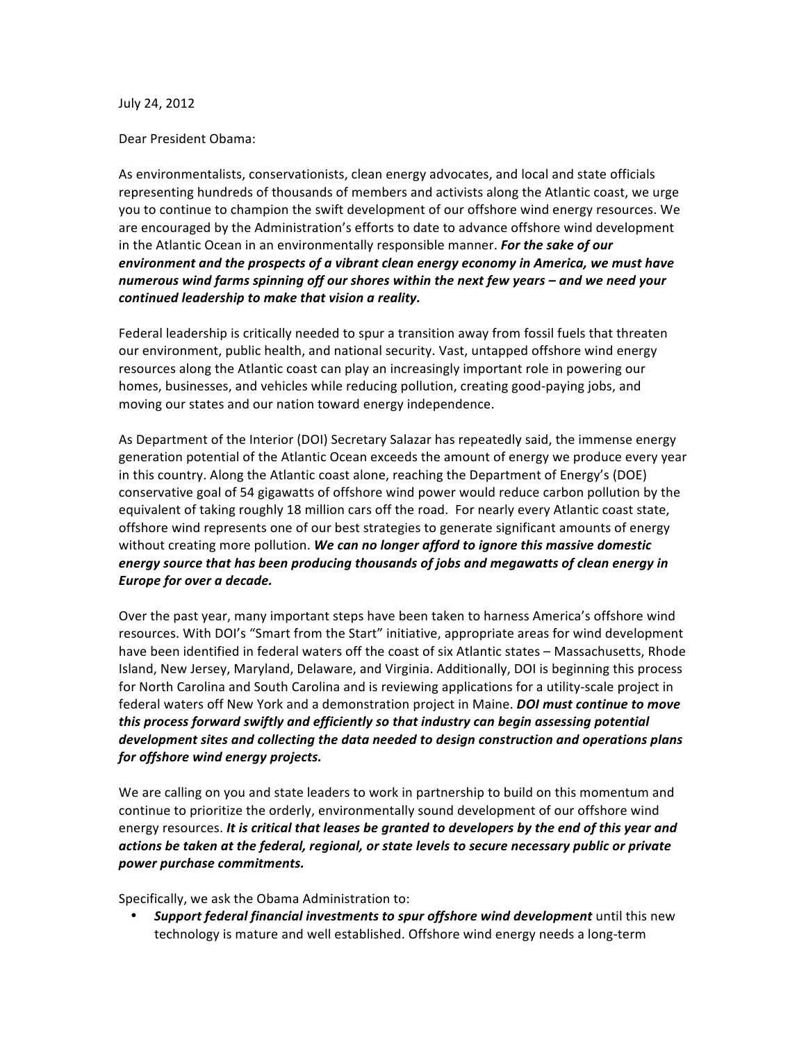#### July
24,
2012

## Dear
President
Obama:

As environmentalists, conservationists, clean energy advocates, and local and state officials representing hundreds of thousands of members and activists along the Atlantic coast, we urge you to continue to champion the swift development of our offshore wind energy resources. We are
encouraged
by
the Administration's efforts to date
to
advance offshore
wind
development in the Atlantic Ocean in an environmentally responsible manner. *For the sake of our environment and the prospects of a vibrant clean energy economy in America, we must have numerous wind farms spinning off our shores within the next few years – and we need your continued leadership to make that vision a reality.* 

Federal leadership is critically needed to spur a transition away from fossil fuels that threaten our
environment,
public
health,
and
national
security.
Vast,
untapped
offshore
wind
energy resources along the Atlantic coast can play an increasingly important role in powering our homes, businesses, and vehicles while reducing pollution, creating good-paying jobs, and moving
our
states
and
our
nation
toward
energy
independence.

As Department of the Interior (DOI) Secretary Salazar has repeatedly said, the immense energy generation potential of the Atlantic Ocean exceeds the amount of energy we produce every year in
this
country.
Along
the
Atlantic
coast
alone,
reaching
the
Department
of
Energy's (DOE) conservative goal of 54 gigawatts of offshore wind power would reduce carbon pollution by the equivalent of taking roughly 18 million cars off the road. For nearly every Atlantic coast state, offshore wind represents one of our best strategies to generate significant amounts of energy without creating more pollution. We can no longer afford to ignore this massive domestic *energy source that has been producing thousands of jobs and megawatts of clean energy in Europe for over a decade.*

Over the past year, many important steps have been taken to harness America's offshore wind resources. With DOI's "Smart from the Start" initiative, appropriate areas for wind development have been identified in federal waters off the coast of six Atlantic states - Massachusetts, Rhode Island, New Jersey, Maryland, Delaware, and Virginia. Additionally, DOI is beginning this process for North Carolina and South Carolina and is reviewing applications for a utility-scale project in federal waters off New York and a demonstration project in Maine. **DOI must continue to move** *this process forward swiftly and efficiently so that industry can begin assessing potential development sites and collecting the data needed to design construction and operations plans for offshore wind energy projects.*

We are calling on you and state leaders to work in partnership to build on this momentum and continue to prioritize the orderly, environmentally sound development of our offshore wind energy resources. It is critical that leases be granted to developers by the end of this year and *actions be taken at the federal, regional, or state levels to secure necessary public or private power purchase commitments.*

Specifically,
we
ask
the
Obama
Administration
to:

Support federal financial investments to spur offshore wind development until this new technology is mature and well established. Offshore wind energy needs a long-term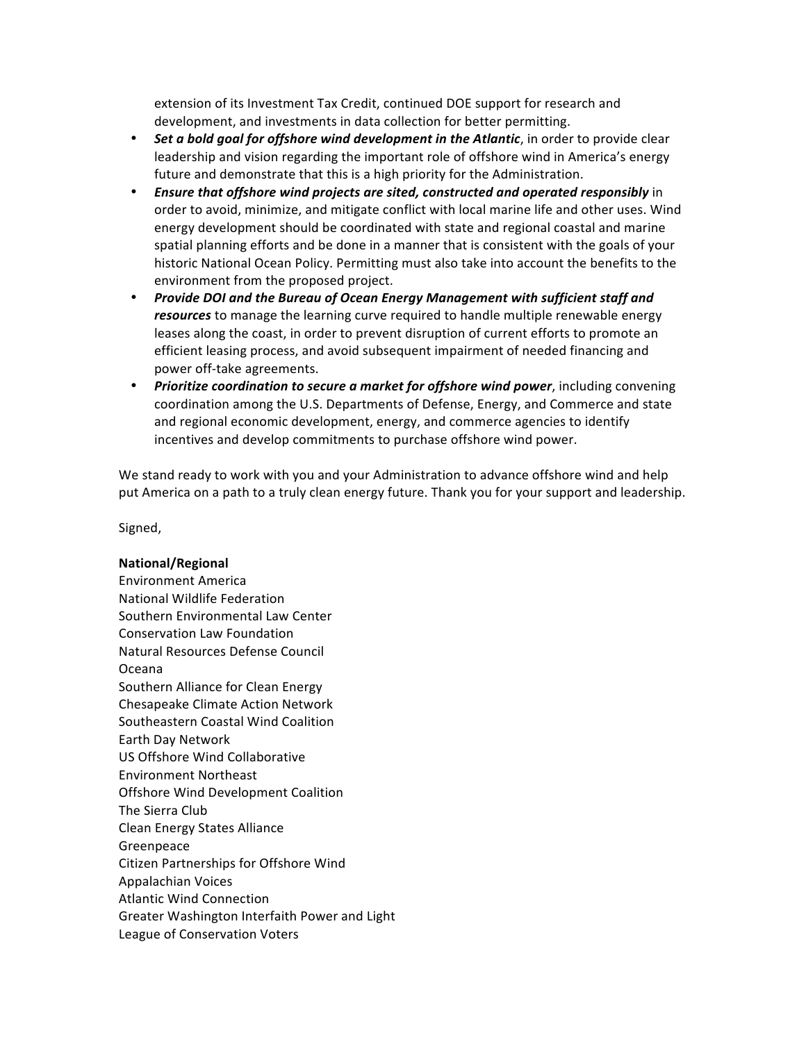extension
of
its
Investment
Tax
Credit,
continued
DOE
support
for
research
and development, and investments in data collection for better permitting.

- Set a bold goal for offshore wind development in the Atlantic, in order to provide clear leadership and vision regarding the important role of offshore wind in America's energy future and demonstrate that this is a high priority for the Administration.
- *Ensure that offshore wind projects are sited, constructed and operated responsibly* in order to avoid, minimize, and mitigate conflict with local marine life and other uses. Wind energy
development
should
be
coordinated
with
state
and
regional
coastal
and
marine spatial planning efforts and be done in a manner that is consistent with the goals of your historic National Ocean Policy. Permitting must also take into account the benefits to the environment
from
the
proposed
project.
- *Provide DOI and the Bureau of Ocean Energy Management with sufficient staff and*  resources to manage the learning curve required to handle multiple renewable energy leases along the coast, in order to prevent disruption of current efforts to promote an efficient
leasing
process,
and
avoid
subsequent
impairment
of
needed
financing
and power
off‐take
agreements.
- Prioritize coordination to secure a market for offshore wind power, including convening coordination
among
the
U.S.
Departments
of
Defense,
Energy,
and
Commerce
and state and
regional
economic
development,
energy,
and
commerce
agencies
to
identify incentives
and
develop
commitments
to
purchase
offshore
wind
power.

We stand ready to work with you and your Administration to advance offshore wind and help put America on a path to a truly clean energy future. Thank you for your support and leadership.

Signed,

## **National/Regional**

Environment
America National
Wildlife
Federation Southern
Environmental
Law
Center Conservation
Law
Foundation Natural
Resources
Defense
Council Oceana Southern
Alliance
for
Clean
Energy Chesapeake
Climate
Action
Network Southeastern
Coastal
Wind
Coalition Earth
Day
Network US
Offshore
Wind
Collaborative Environment
Northeast Offshore
Wind
Development
Coalition The
Sierra
Club Clean
Energy
States
Alliance Greenpeace Citizen
Partnerships
for
Offshore
Wind Appalachian
Voices Atlantic
Wind
Connection Greater
Washington
Interfaith
Power
and
Light League
of
Conservation
Voters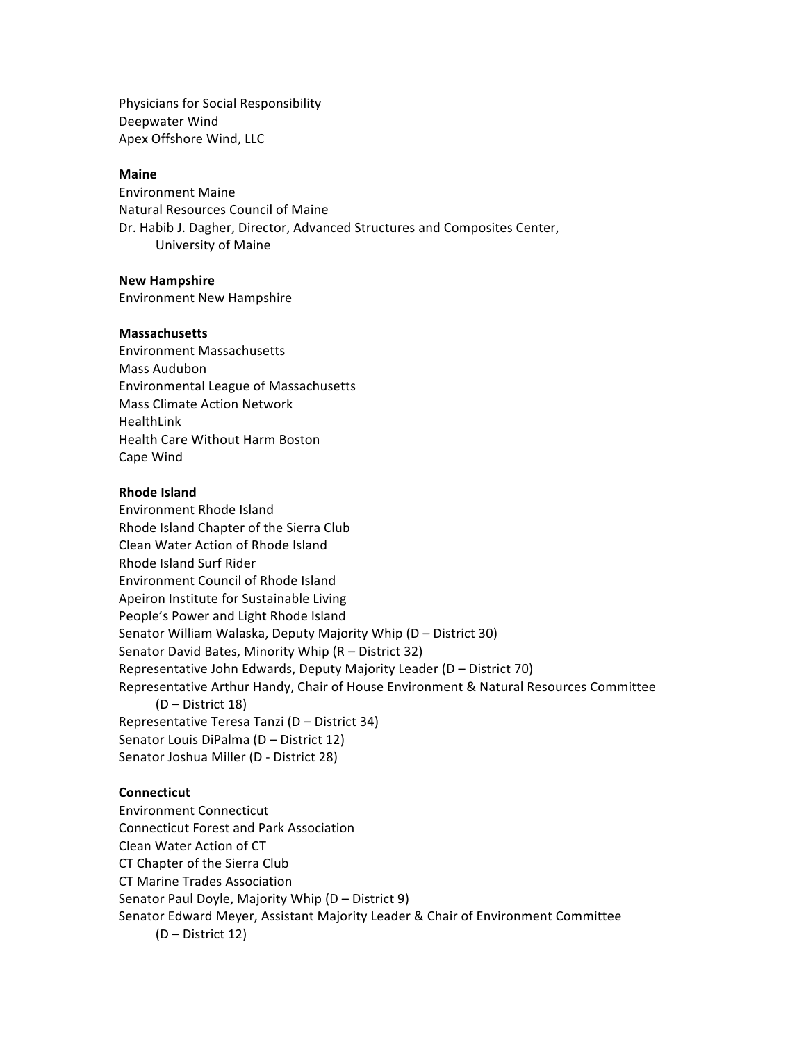Physicians
for
Social
Responsibility Deepwater
Wind Apex
Offshore
Wind,
LLC

## **Maine**

Environment
Maine Natural
Resources
Council
of
Maine Dr. Habib J. Dagher, Director, Advanced Structures and Composites Center, University
of
Maine

## **New Hampshire**

Environment
New
Hampshire

# **Massachusetts**

Environment
Massachusetts Mass
Audubon Environmental
League
of
Massachusetts Mass
Climate
Action
Network HealthLink Health
Care
Without
Harm
Boston Cape
Wind

# **Rhode Island**

Environment
Rhode
Island Rhode
Island
Chapter
of
the
Sierra
Club Clean
Water
Action
of
Rhode
Island Rhode
Island
Surf
Rider Environment
Council
of
Rhode
Island Apeiron
Institute
for
Sustainable
Living People's
Power
and
Light Rhode
Island Senator
William
Walaska,
Deputy
Majority
Whip
(D
–
District
30) Senator
David
Bates,
Minority
Whip
(R
–
District
32) Representative
John
Edwards,
Deputy
Majority
Leader
(D
–
District
70) Representative
Arthur
Handy,
Chair
of
House
Environment
&
Natural
Resources
Committee (D
–
District
18) Representative
Teresa
Tanzi
(D
–
District
34) Senator
Louis
DiPalma
(D
–
District
12) Senator
Joshua
Miller
(D
‐
District
28)

# **Connecticut**

Environment
Connecticut Connecticut
Forest
and
Park Association Clean
Water
Action
of
CT CT
Chapter
of
the
Sierra
Club CT
Marine
Trades
Association Senator
Paul
Doyle,
Majority
Whip
(D
–
District
9) Senator
Edward
Meyer,
Assistant
Majority
Leader
&
Chair
of
Environment
Committee (D
–
District
12)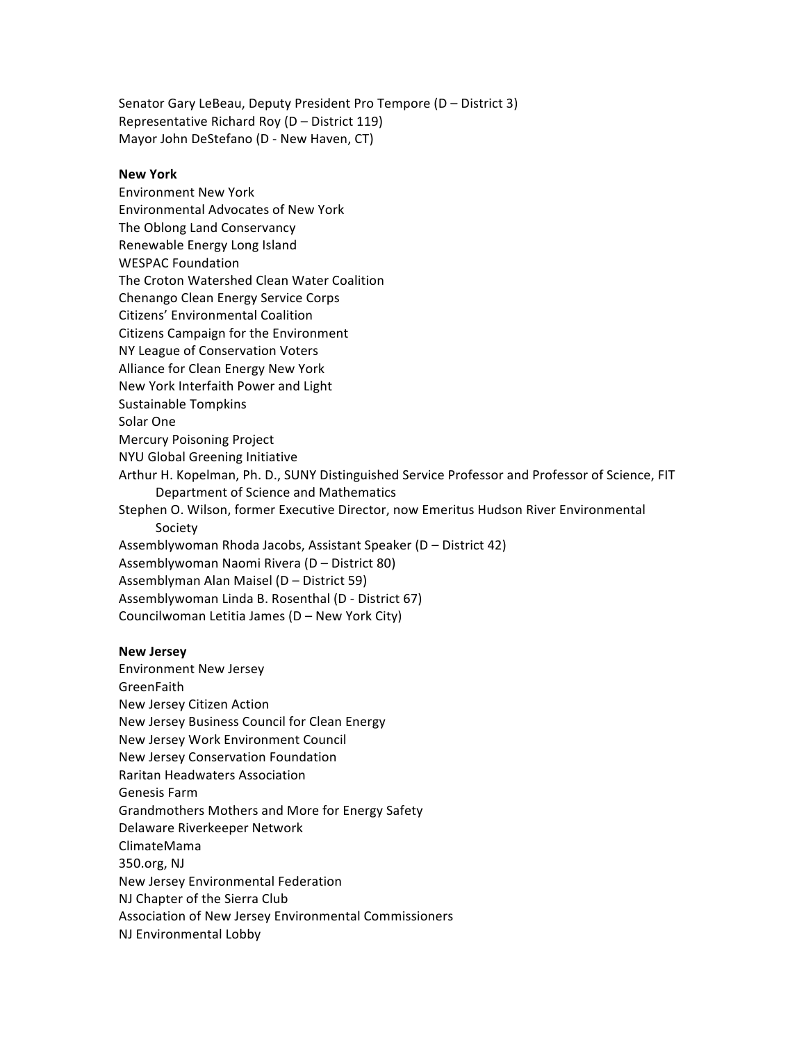Senator Gary LeBeau, Deputy President Pro Tempore (D – District 3) Representative
Richard
Roy
(D
–
District
119) Mayor
John
DeStefano
(D
‐ New
Haven,
CT)

#### **New York**

Environment
New
York Environmental
Advocates
of
New
York The
Oblong
Land
Conservancy Renewable
Energy
Long
Island WESPAC
Foundation The
Croton
Watershed
Clean
Water
Coalition Chenango
Clean
Energy
Service
Corps Citizens'
Environmental
Coalition Citizens
Campaign
for
the
Environment NY
League
of
Conservation
Voters Alliance
for
Clean
Energy
New
York New
York
Interfaith
Power
and
Light Sustainable
Tompkins Solar
One Mercury
Poisoning
Project NYU
Global
Greening
Initiative Arthur
H.
Kopelman,
Ph.
D.,
SUNY
Distinguished
Service
Professor
and
Professor
of
Science,
FIT Department
of
Science
and
Mathematics Stephen
O.
Wilson,
former
Executive
Director,
now
Emeritus
Hudson
River
Environmental Society Assemblywoman Rhoda Jacobs, Assistant Speaker (D - District 42) Assemblywoman
Naomi
Rivera
(D
–
District
80) Assemblyman
Alan
Maisel
(D
–
District
59) Assemblywoman
Linda
B.
Rosenthal
(D
‐
District
67) Councilwoman
Letitia
James
(D
–
New
York
City)

#### **New Jersey**

Environment
New
Jersey GreenFaith New
Jersey
Citizen
Action New
Jersey
Business
Council
for
Clean
Energy New
Jersey
Work
Environment
Council New
Jersey
Conservation
Foundation Raritan
Headwaters
Association Genesis
Farm Grandmothers
Mothers
and
More
for
Energy
Safety Delaware
Riverkeeper
Network ClimateMama 350.org,
NJ New
Jersey
Environmental
Federation NJ
Chapter
of
the
Sierra
Club Association
of
New
Jersey
Environmental
Commissioners NJ
Environmental
Lobby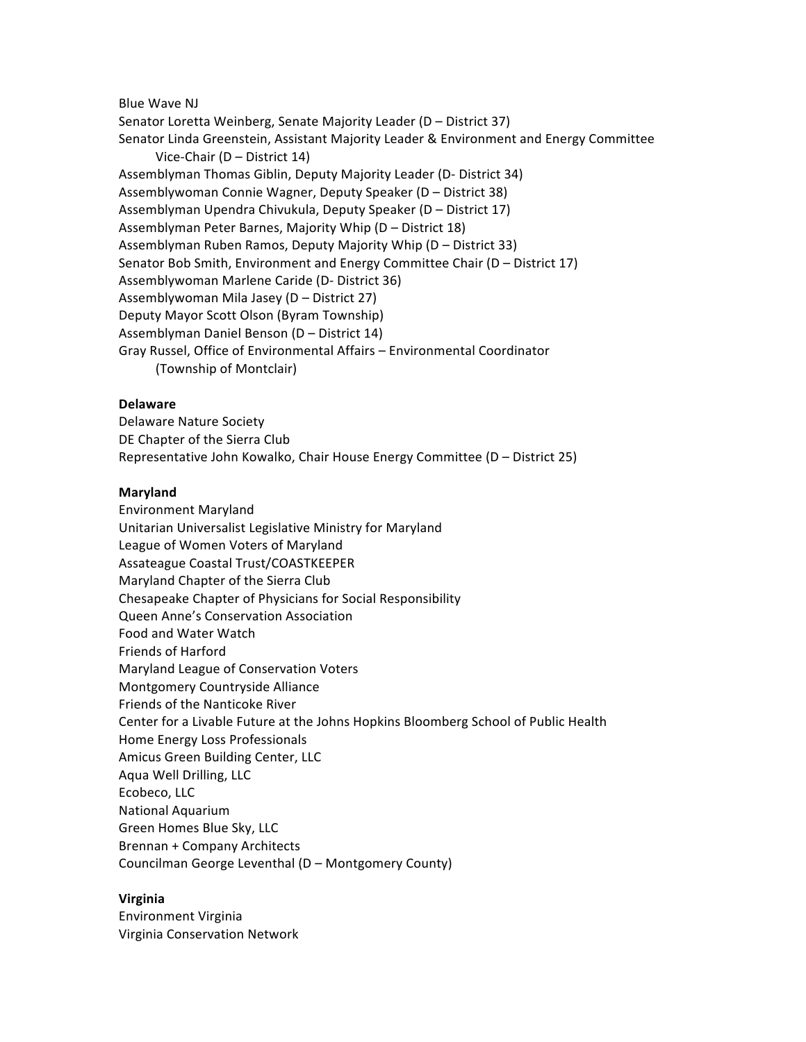Blue
Wave
NJ

Senator Loretta Weinberg, Senate Majority Leader (D - District 37) Senator Linda Greenstein, Assistant Majority Leader & Environment and Energy Committee Vice-Chair (D – District 14) Assemblyman
Thomas
Giblin,
Deputy
Majority
Leader
(D‐
District
34) Assemblywoman
Connie
Wagner,
Deputy
Speaker
(D
–
District
38) Assemblyman
Upendra
Chivukula,
Deputy
Speaker
(D
–
District
17) Assemblyman
Peter
Barnes,
Majority
Whip
(D
–
District
18) Assemblyman
Ruben
Ramos,
Deputy
Majority
Whip
(D
–
District
33) Senator Bob Smith, Environment and Energy Committee Chair (D - District 17) Assemblywoman
Marlene
Caride
(D‐
District
36) Assemblywoman
Mila
Jasey
(D
–
District
27) Deputy
Mayor
Scott
Olson
(Byram
Township) Assemblyman
Daniel
Benson
(D
–
District
14) Gray
Russel,
Office
of
Environmental
Affairs
–
Environmental
Coordinator (Township
of
Montclair)

# **Delaware**

Delaware
Nature
Society DE Chapter of the Sierra Club Representative
John
Kowalko,
Chair
House
Energy
Committee
(D
–
District
25)

# **Maryland**

Environment
Maryland Unitarian Universalist Legislative Ministry for Maryland League
of
Women
Voters
of
Maryland Assateague
Coastal
Trust/COASTKEEPER Maryland
Chapter
of
the
Sierra
Club Chesapeake
Chapter
of
Physicians
for
Social
Responsibility Queen
Anne's
Conservation
Association Food
and
Water
Watch Friends
of
Harford Maryland
League
of
Conservation
Voters Montgomery
Countryside
Alliance Friends
of
the
Nanticoke
River Center for a Livable Future at the Johns Hopkins Bloomberg School of Public Health Home
Energy
Loss
Professionals Amicus
Green
Building
Center,
LLC Aqua
Well
Drilling,
LLC Ecobeco,
LLC National
Aquarium Green
Homes
Blue
Sky,
LLC Brennan + Company Architects Councilman
George
Leventhal
(D
– Montgomery
County)

## **Virginia**

Environment
Virginia Virginia
Conservation
Network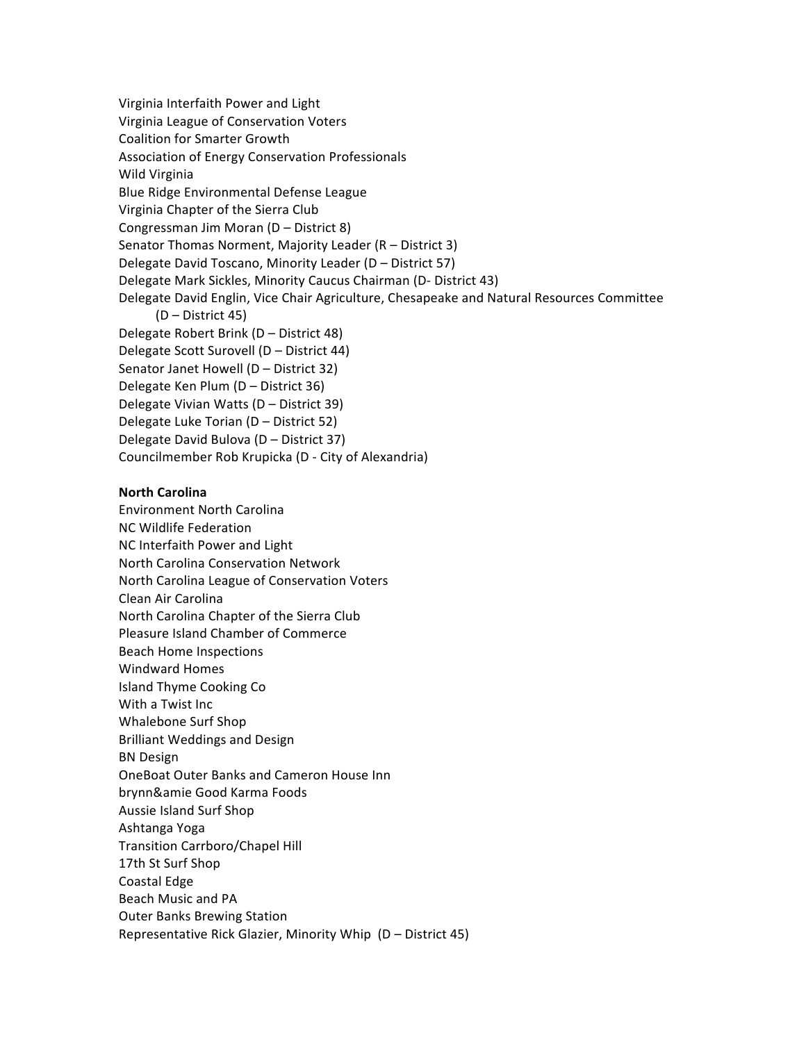Virginia
Interfaith
Power
and
Light Virginia
League
of
Conservation
Voters Coalition
for
Smarter
Growth Association
of
Energy
Conservation
Professionals Wild
Virginia Blue
Ridge
Environmental
Defense
League Virginia
Chapter
of
the
Sierra
Club Congressman
Jim
Moran
(D
–
District
8) Senator Thomas Norment, Majority Leader (R - District 3) Delegate
David
Toscano,
Minority
Leader
(D
–
District
57) Delegate
Mark
Sickles,
Minority
Caucus
Chairman
(D‐
District
43) Delegate David Englin, Vice Chair Agriculture, Chesapeake and Natural Resources Committee (D
–
District
45) Delegate
Robert
Brink
(D
–
District
48) Delegate
Scott
Surovell
(D
–
District
44) Senator
Janet
Howell
(D
–
District
32) Delegate
Ken
Plum
(D
–
District
36) Delegate
Vivian
Watts
(D
–
District
39) Delegate
Luke
Torian
(D
–
District
52) Delegate
David
Bulova
(D
–
District
37) Councilmember Rob Krupicka (D - City of Alexandria)

## **North Carolina**

Environment
North
Carolina NC
Wildlife
Federation NC
Interfaith
Power
and
Light North
Carolina
Conservation
Network North
Carolina
League
of
Conservation
Voters Clean
Air
Carolina North Carolina Chapter of the Sierra Club Pleasure
Island
Chamber
of
Commerce Beach
Home
Inspections Windward
Homes Island
Thyme
Cooking
Co With
a
Twist
Inc Whalebone
Surf
Shop Brilliant
Weddings
and
Design BN
Design OneBoat
Outer
Banks
and
Cameron
House
Inn brynn&amie
Good
Karma
Foods Aussie
Island
Surf
Shop Ashtanga
Yoga Transition
Carrboro/Chapel
Hill 17th
St
Surf
Shop Coastal
Edge Beach
Music
and
PA Outer
Banks
Brewing
Station Representative Rick Glazier, Minority Whip (D - District 45)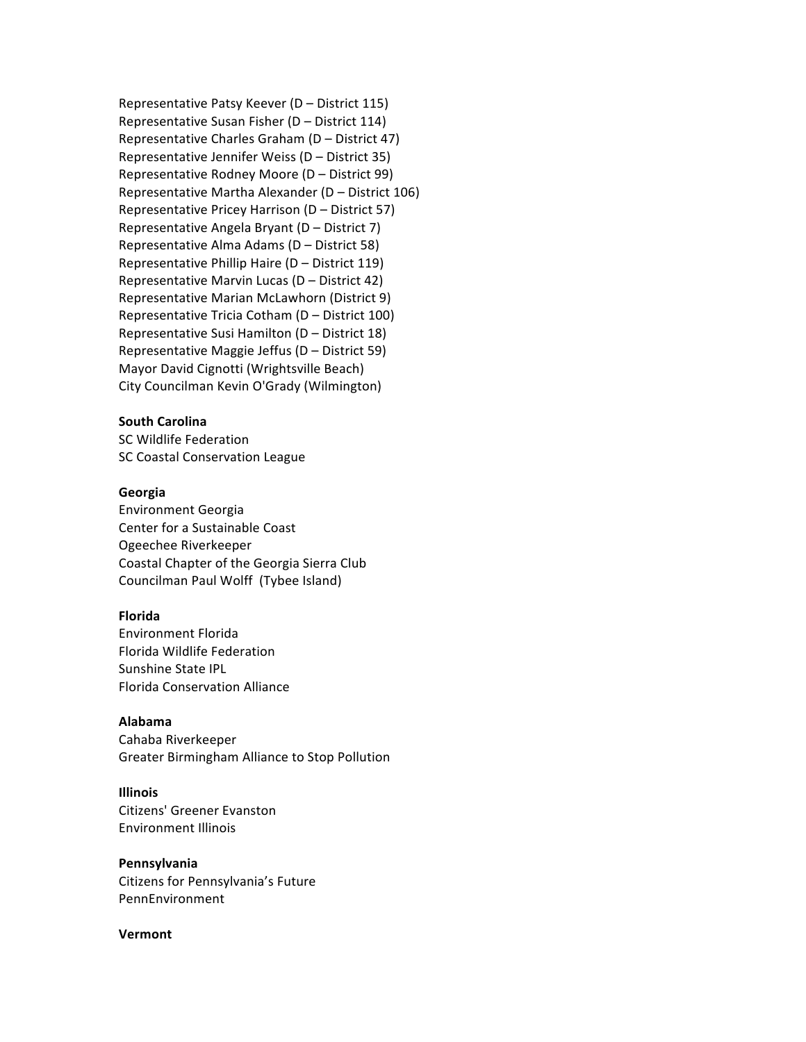Representative
Patsy
Keever
(D
– District
115) Representative
Susan
Fisher
(D
– District
114) Representative
Charles
Graham
(D
– District
47) Representative
Jennifer
Weiss
(D
–
District
35) Representative
Rodney
Moore
(D
– District
99) Representative
Martha
Alexander
(D
– District
106) Representative
Pricey
Harrison
(D
– District
57) Representative
Angela
Bryant
(D
– District
7) Representative
Alma
Adams
(D
– District
58) Representative
Phillip
Haire
(D
– District
119) Representative
Marvin
Lucas
(D
– District
42) Representative
Marian
McLawhorn
(District
9) Representative
Tricia
Cotham
(D
– District
100) Representative
Susi
Hamilton
(D
– District
18) Representative
Maggie
Jeffus
(D
– District
59) Mayor
David
Cignotti
(Wrightsville
Beach) City
Councilman
Kevin
O'Grady
(Wilmington)

## **South Carolina**

SC
Wildlife
Federation SC
Coastal
Conservation
League

## **Georgia**

Environment
Georgia Center
for
a
Sustainable
Coast Ogeechee
Riverkeeper Coastal Chapter of the Georgia Sierra Club Councilman
Paul
Wolff

(Tybee
Island)

## **Florida**

Environment
Florida Florida
Wildlife
Federation Sunshine
State
IPL Florida
Conservation
Alliance

#### **Alabama**

Cahaba
Riverkeeper Greater
Birmingham
Alliance
to
Stop
Pollution

## **Illinois**

Citizens'
Greener
Evanston Environment
Illinois

#### **Pennsylvania**

Citizens
for
Pennsylvania's
Future PennEnvironment

#### **Vermont**